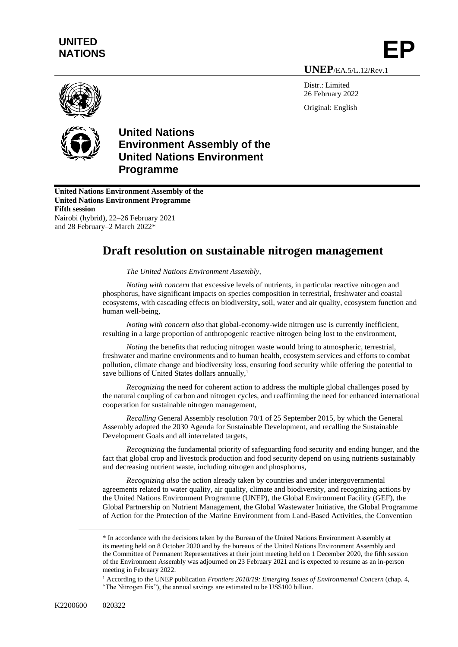## **UNITED**  UNITED<br>NATIONS **EP**

**UNEP**/EA.5/L.12/Rev.1

Distr.: Limited 26 February 2022 Original: English





**United Nations Environment Assembly of the United Nations Environment Programme Fifth session** Nairobi (hybrid), 22–26 February 2021 and 28 February–2 March 2022\*

## **Draft resolution on sustainable nitrogen management**

*The United Nations Environment Assembly,*

*Noting with concern* that excessive levels of nutrients, in particular reactive nitrogen and phosphorus, have significant impacts on species composition in terrestrial, freshwater and coastal ecosystems, with cascading effects on biodiversity**,** soil, water and air quality, ecosystem function and human well-being,

*Noting with concern also* that global-economy-wide nitrogen use is currently inefficient, resulting in a large proportion of anthropogenic reactive nitrogen being lost to the environment,

*Noting* the benefits that reducing nitrogen waste would bring to atmospheric, terrestrial, freshwater and marine environments and to human health, ecosystem services and efforts to combat pollution, climate change and biodiversity loss, ensuring food security while offering the potential to save billions of United States dollars annually,<sup>1</sup>

*Recognizing* the need for coherent action to address the multiple global challenges posed by the natural coupling of carbon and nitrogen cycles, and reaffirming the need for enhanced international cooperation for sustainable nitrogen management,

*Recalling* General Assembly resolution 70/1 of 25 September 2015, by which the General Assembly adopted the 2030 Agenda for Sustainable Development, and recalling the Sustainable Development Goals and all interrelated targets,

*Recognizing* the fundamental priority of safeguarding food security and ending hunger, and the fact that global crop and livestock production and food security depend on using nutrients sustainably and decreasing nutrient waste, including nitrogen and phosphorus,

*Recognizing also* the action already taken by countries and under intergovernmental agreements related to water quality, air quality, climate and biodiversity, and recognizing actions by the United Nations Environment Programme (UNEP), the Global Environment Facility (GEF), the Global Partnership on Nutrient Management, the Global Wastewater Initiative, the Global Programme of Action for the Protection of the Marine Environment from Land-Based Activities, the Convention

<sup>\*</sup> In accordance with the decisions taken by the Bureau of the United Nations Environment Assembly at its meeting held on 8 October 2020 and by the bureaux of the United Nations Environment Assembly and the Committee of Permanent Representatives at their joint meeting held on 1 December 2020, the fifth session of the Environment Assembly was adjourned on 23 February 2021 and is expected to resume as an in-person meeting in February 2022.

<sup>1</sup> According to the UNEP publication *Frontiers 2018/19: Emerging Issues of Environmental Concern* (chap. 4, "The Nitrogen Fix"), the annual savings are estimated to be US\$100 billion.